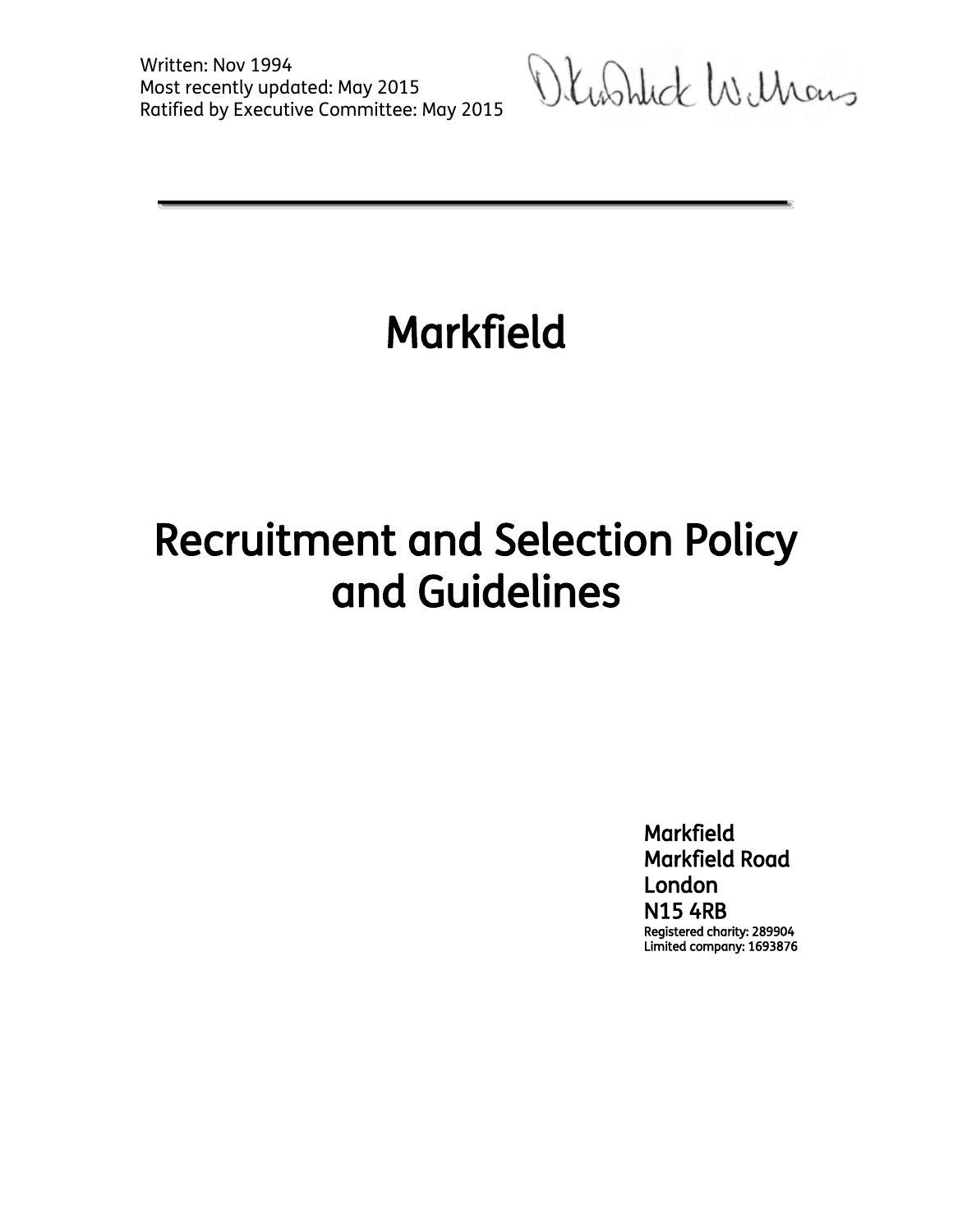Written: Nov 1994 Most recently updated: May 2015 Ratified by Executive Committee: May 2015

Okashlick Williams

# Markfield

# Recruitment and Selection Policy and Guidelines

**Markfield** Markfield Road London N15 4RB Registered charity: 289904 Limited company: 1693876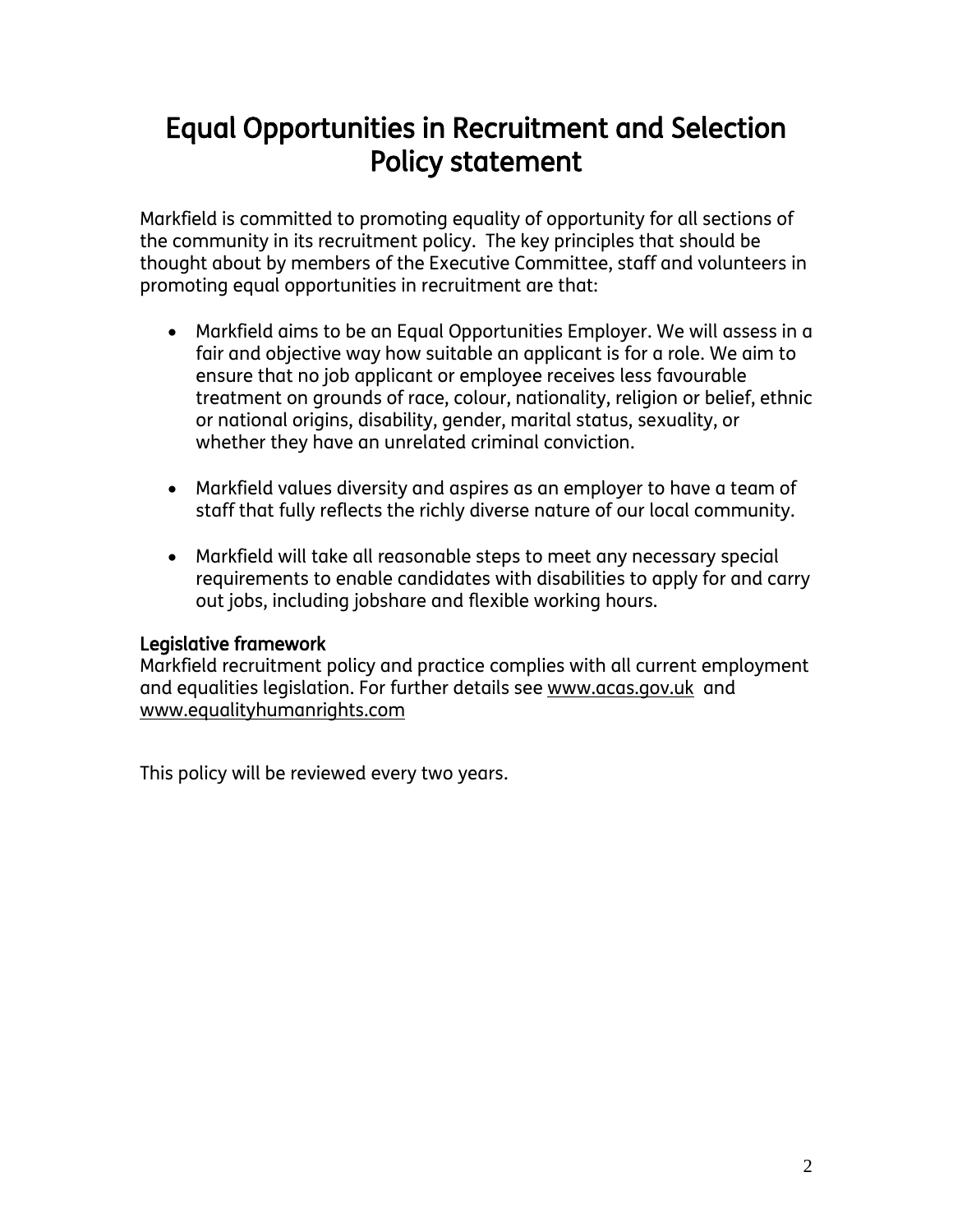## Equal Opportunities in Recruitment and Selection Policy statement

Markfield is committed to promoting equality of opportunity for all sections of the community in its recruitment policy. The key principles that should be thought about by members of the Executive Committee, staff and volunteers in promoting equal opportunities in recruitment are that:

- Markfield aims to be an Equal Opportunities Employer. We will assess in a fair and objective way how suitable an applicant is for a role. We aim to ensure that no job applicant or employee receives less favourable treatment on grounds of race, colour, nationality, religion or belief, ethnic or national origins, disability, gender, marital status, sexuality, or whether they have an unrelated criminal conviction.
- Markfield values diversity and aspires as an employer to have a team of staff that fully reflects the richly diverse nature of our local community.
- Markfield will take all reasonable steps to meet any necessary special requirements to enable candidates with disabilities to apply for and carry out jobs, including jobshare and flexible working hours.

#### Legislative framework

Markfield recruitment policy and practice complies with all current employment and equalities legislation. For further details see [www.acas.gov.uk](http://www.acas.gov.uk/) and [www.equalityhumanrights.com](http://www.equalityhumanrights.com/)

This policy will be reviewed every two years.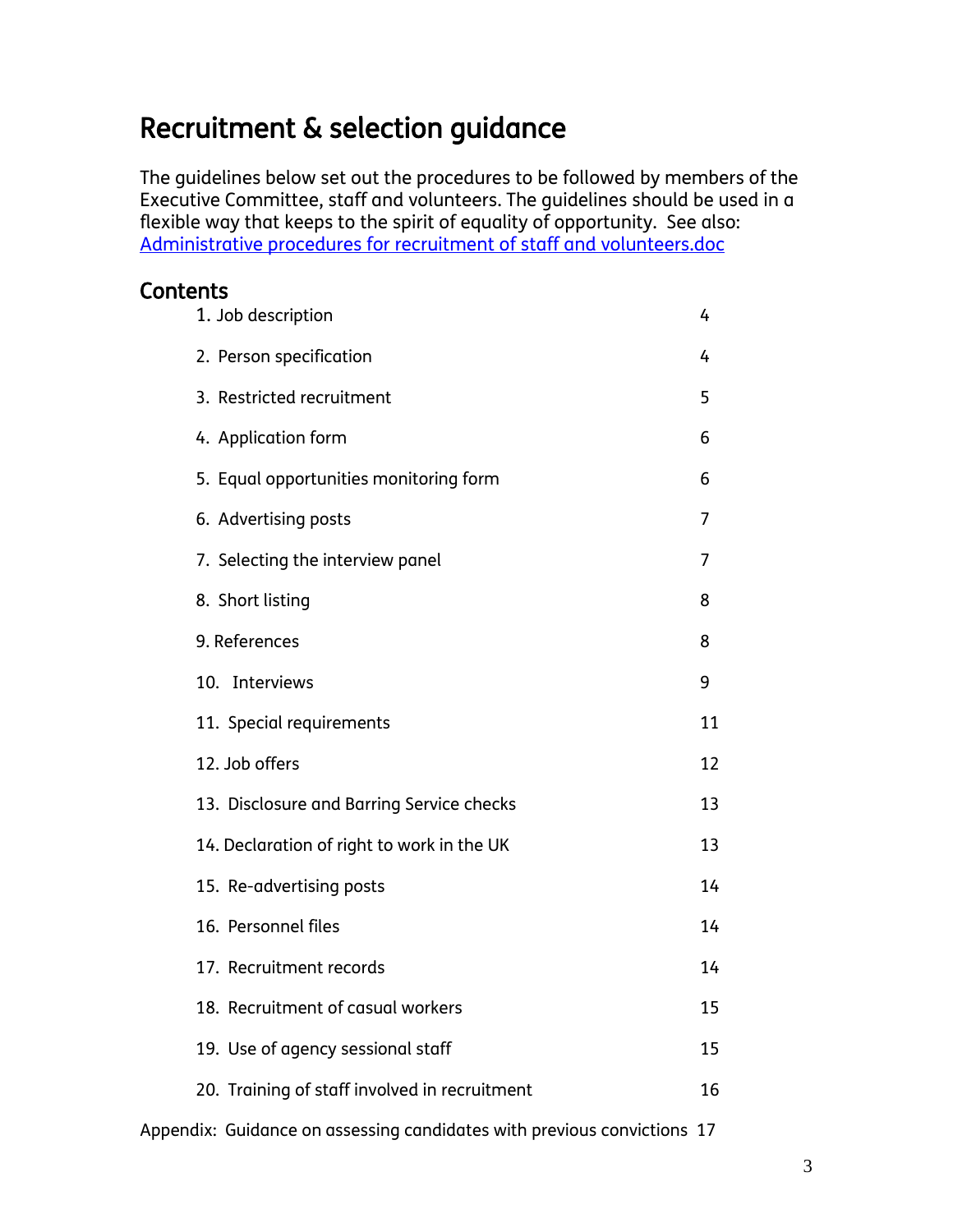## Recruitment & selection guidance

The guidelines below set out the procedures to be followed by members of the Executive Committee, staff and volunteers. The guidelines should be used in a flexible way that keeps to the spirit of equality of opportunity. See also: [Administrative procedures for recruitment of staff and volunteers.doc](Administrative%20procedures%20for%20recruitment%20of%20staff%20and%20volunteers.doc)

## Contents

|                  | 1. Job description                            | 4  |
|------------------|-----------------------------------------------|----|
|                  | 2. Person specification                       | 4  |
|                  | 3. Restricted recruitment                     | 5  |
|                  | 4. Application form                           | 6  |
|                  | 5. Equal opportunities monitoring form        | 6  |
|                  | 6. Advertising posts                          | 7  |
|                  | 7. Selecting the interview panel              | 7  |
| 8. Short listing |                                               | 8  |
| 9. References    |                                               | 8  |
| 10. Interviews   |                                               | 9  |
|                  | 11. Special requirements                      | 11 |
| 12. Job offers   |                                               | 12 |
|                  | 13. Disclosure and Barring Service checks     | 13 |
|                  | 14. Declaration of right to work in the UK    | 13 |
|                  | 15. Re-advertising posts                      | 14 |
|                  | 16. Personnel files                           | 14 |
|                  | 17. Recruitment records                       | 14 |
|                  | 18. Recruitment of casual workers             | 15 |
|                  | 19. Use of agency sessional staff             | 15 |
|                  | 20. Training of staff involved in recruitment | 16 |
|                  |                                               |    |

Appendix: Guidance on assessing candidates with previous convictions 17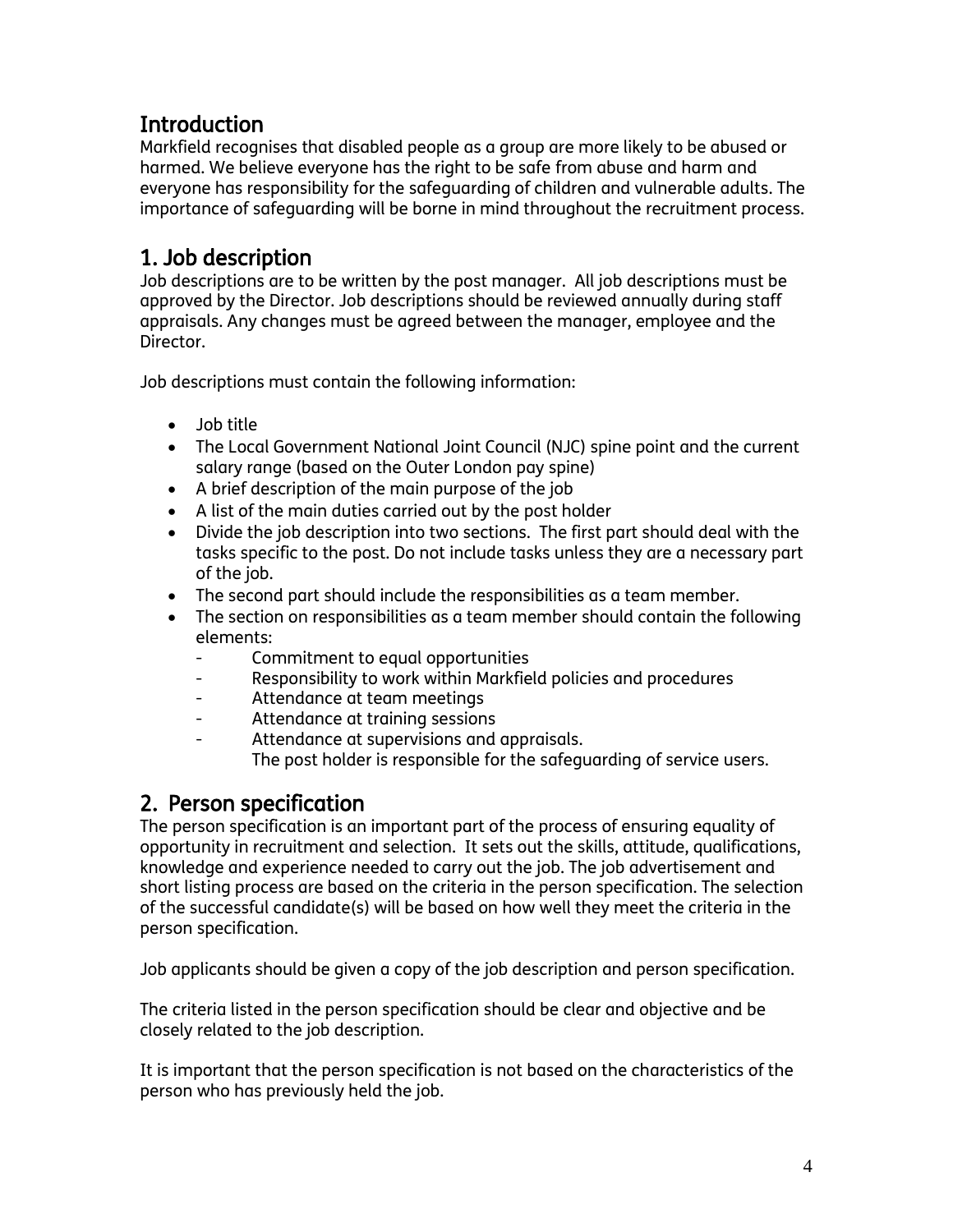## Introduction

Markfield recognises that disabled people as a group are more likely to be abused or harmed. We believe everyone has the right to be safe from abuse and harm and everyone has responsibility for the safeguarding of children and vulnerable adults. The importance of safeguarding will be borne in mind throughout the recruitment process.

## 1. Job description

Job descriptions are to be written by the post manager. All job descriptions must be approved by the Director. Job descriptions should be reviewed annually during staff appraisals. Any changes must be agreed between the manager, employee and the Director.

Job descriptions must contain the following information:

- Job title
- The Local Government National Joint Council (NJC) spine point and the current salary range (based on the Outer London pay spine)
- A brief description of the main purpose of the job
- A list of the main duties carried out by the post holder
- Divide the job description into two sections. The first part should deal with the tasks specific to the post. Do not include tasks unless they are a necessary part of the job.
- The second part should include the responsibilities as a team member.
- The section on responsibilities as a team member should contain the following elements:
	- Commitment to equal opportunities
	- Responsibility to work within Markfield policies and procedures
	- Attendance at team meetings
	- Attendance at training sessions
	- Attendance at supervisions and appraisals. The post holder is responsible for the safeguarding of service users.

## 2. Person specification

The person specification is an important part of the process of ensuring equality of opportunity in recruitment and selection. It sets out the skills, attitude, qualifications, knowledge and experience needed to carry out the job. The job advertisement and short listing process are based on the criteria in the person specification. The selection of the successful candidate(s) will be based on how well they meet the criteria in the person specification.

Job applicants should be given a copy of the job description and person specification.

The criteria listed in the person specification should be clear and objective and be closely related to the job description.

It is important that the person specification is not based on the characteristics of the person who has previously held the job.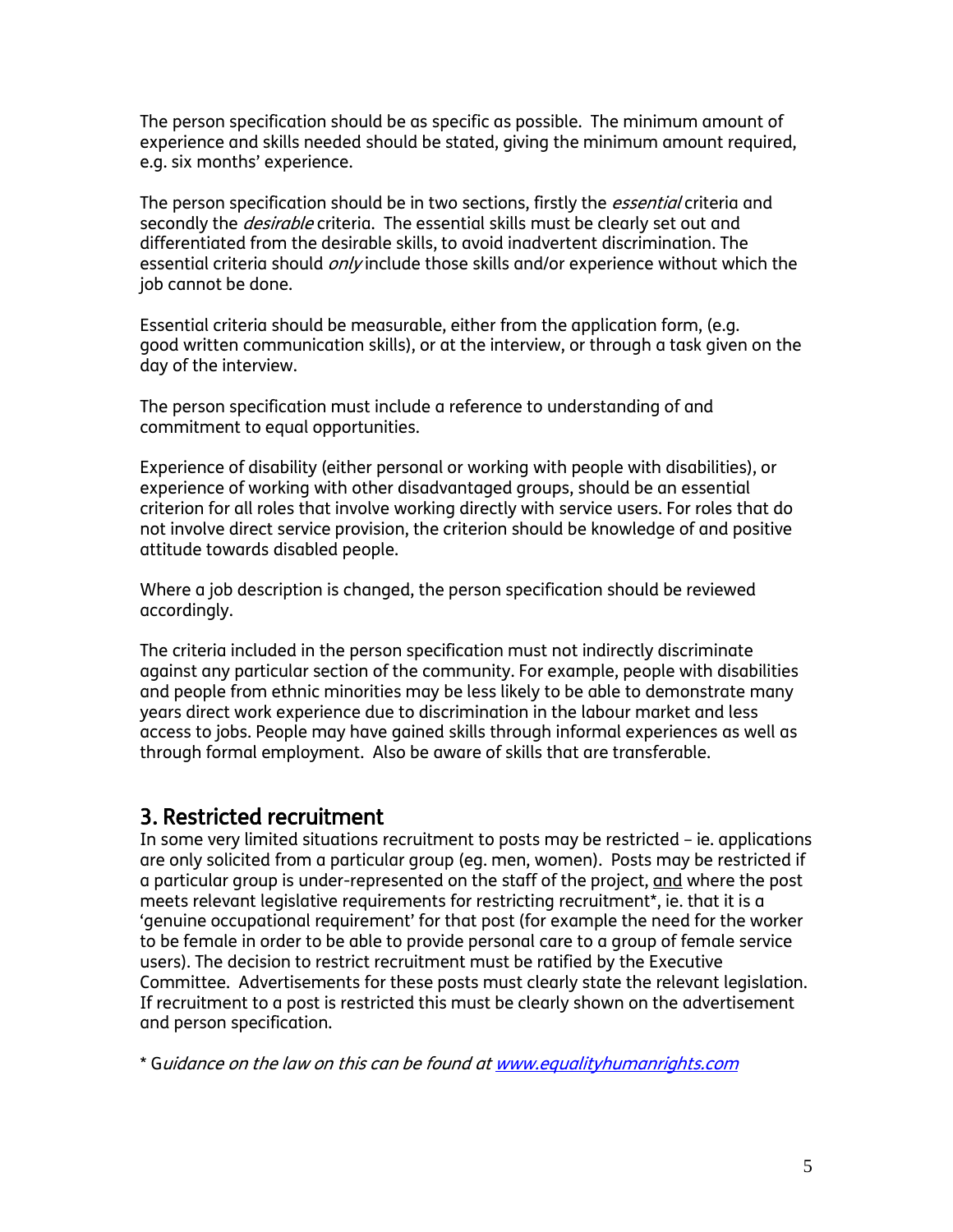The person specification should be as specific as possible. The minimum amount of experience and skills needed should be stated, giving the minimum amount required, e.g. six months' experience.

The person specification should be in two sections, firstly the *essential* criteria and secondly the *desirable* criteria. The essential skills must be clearly set out and differentiated from the desirable skills, to avoid inadvertent discrimination. The essential criteria should *only* include those skills and/or experience without which the job cannot be done.

Essential criteria should be measurable, either from the application form, (e.g. good written communication skills), or at the interview, or through a task given on the day of the interview.

The person specification must include a reference to understanding of and commitment to equal opportunities.

Experience of disability (either personal or working with people with disabilities), or experience of working with other disadvantaged groups, should be an essential criterion for all roles that involve working directly with service users. For roles that do not involve direct service provision, the criterion should be knowledge of and positive attitude towards disabled people.

Where a job description is changed, the person specification should be reviewed accordingly.

The criteria included in the person specification must not indirectly discriminate against any particular section of the community. For example, people with disabilities and people from ethnic minorities may be less likely to be able to demonstrate many years direct work experience due to discrimination in the labour market and less access to jobs. People may have gained skills through informal experiences as well as through formal employment. Also be aware of skills that are transferable.

### 3. Restricted recruitment

In some very limited situations recruitment to posts may be restricted – ie. applications are only solicited from a particular group (eg. men, women). Posts may be restricted if a particular group is under-represented on the staff of the project, and where the post meets relevant legislative requirements for restricting recruitment\*, ie. that it is a 'genuine occupational requirement' for that post (for example the need for the worker to be female in order to be able to provide personal care to a group of female service users). The decision to restrict recruitment must be ratified by the Executive Committee. Advertisements for these posts must clearly state the relevant legislation. If recruitment to a post is restricted this must be clearly shown on the advertisement and person specification.

\* Guidance on the law on this can be found at [www.equalityhumanrights.com](http://www.equalityhumanrights.com/)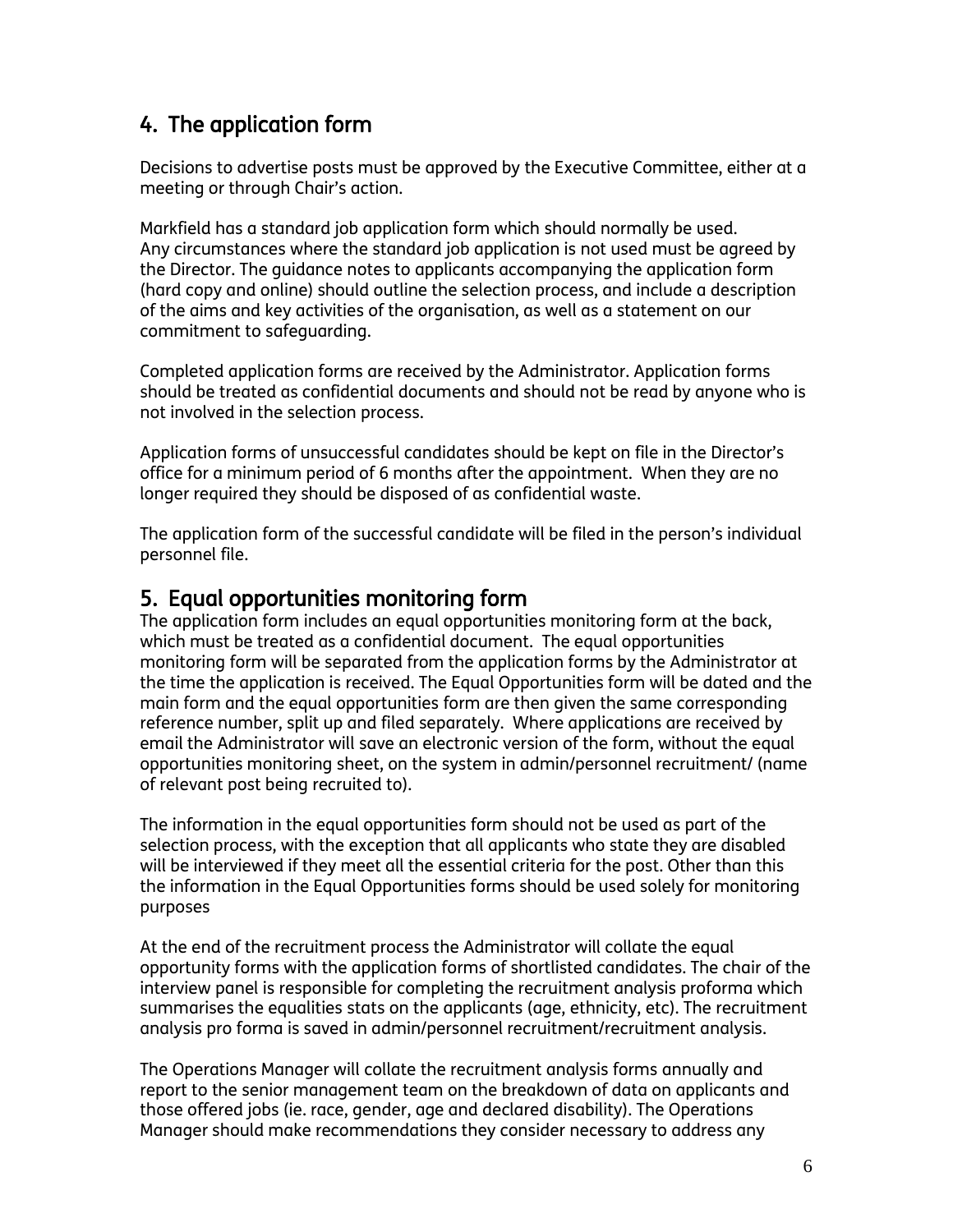## 4. The application form

Decisions to advertise posts must be approved by the Executive Committee, either at a meeting or through Chair's action.

Markfield has a standard job application form which should normally be used. Any circumstances where the standard job application is not used must be agreed by the Director. The guidance notes to applicants accompanying the application form (hard copy and online) should outline the selection process, and include a description of the aims and key activities of the organisation, as well as a statement on our commitment to safeguarding.

Completed application forms are received by the Administrator. Application forms should be treated as confidential documents and should not be read by anyone who is not involved in the selection process.

Application forms of unsuccessful candidates should be kept on file in the Director's office for a minimum period of 6 months after the appointment. When they are no longer required they should be disposed of as confidential waste.

The application form of the successful candidate will be filed in the person's individual personnel file.

## 5. Equal opportunities monitoring form

The application form includes an equal opportunities monitoring form at the back, which must be treated as a confidential document. The equal opportunities monitoring form will be separated from the application forms by the Administrator at the time the application is received. The Equal Opportunities form will be dated and the main form and the equal opportunities form are then given the same corresponding reference number, split up and filed separately. Where applications are received by email the Administrator will save an electronic version of the form, without the equal opportunities monitoring sheet, on the system in admin/personnel recruitment/ (name of relevant post being recruited to).

The information in the equal opportunities form should not be used as part of the selection process, with the exception that all applicants who state they are disabled will be interviewed if they meet all the essential criteria for the post. Other than this the information in the Equal Opportunities forms should be used solely for monitoring purposes

At the end of the recruitment process the Administrator will collate the equal opportunity forms with the application forms of shortlisted candidates. The chair of the interview panel is responsible for completing the recruitment analysis proforma which summarises the equalities stats on the applicants (age, ethnicity, etc). The recruitment analysis pro forma is saved in admin/personnel recruitment/recruitment analysis.

The Operations Manager will collate the recruitment analysis forms annually and report to the senior management team on the breakdown of data on applicants and those offered jobs (ie. race, gender, age and declared disability). The Operations Manager should make recommendations they consider necessary to address any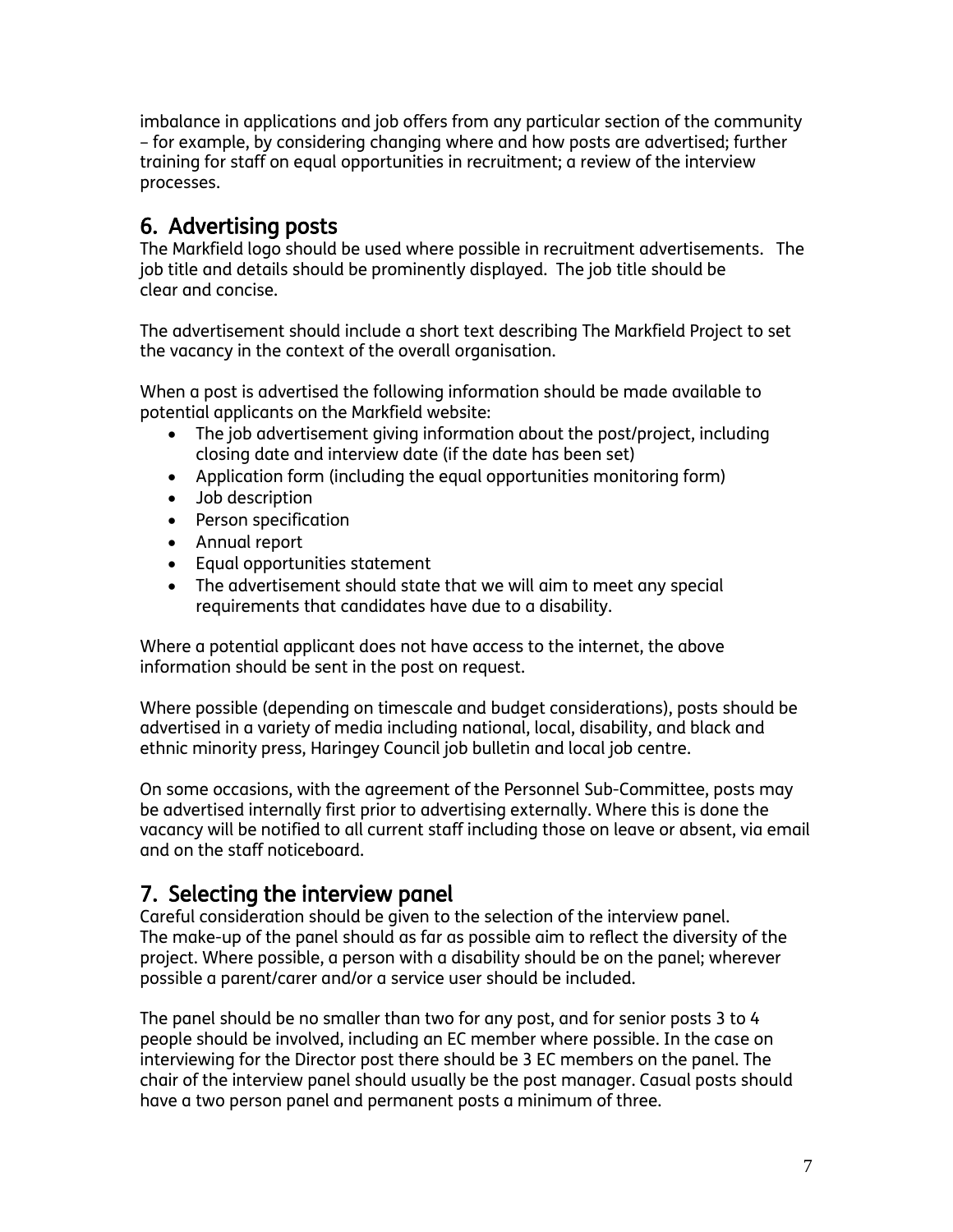imbalance in applications and job offers from any particular section of the community – for example, by considering changing where and how posts are advertised; further training for staff on equal opportunities in recruitment; a review of the interview processes.

## 6. Advertising posts

The Markfield logo should be used where possible in recruitment advertisements. The job title and details should be prominently displayed. The job title should be clear and concise.

The advertisement should include a short text describing The Markfield Project to set the vacancy in the context of the overall organisation.

When a post is advertised the following information should be made available to potential applicants on the Markfield website:

- The job advertisement giving information about the post/project, including closing date and interview date (if the date has been set)
- Application form (including the equal opportunities monitoring form)
- Job description
- Person specification
- Annual report
- Equal opportunities statement
- The advertisement should state that we will aim to meet any special requirements that candidates have due to a disability.

Where a potential applicant does not have access to the internet, the above information should be sent in the post on request.

Where possible (depending on timescale and budget considerations), posts should be advertised in a variety of media including national, local, disability, and black and ethnic minority press, Haringey Council job bulletin and local job centre.

On some occasions, with the agreement of the Personnel Sub-Committee, posts may be advertised internally first prior to advertising externally. Where this is done the vacancy will be notified to all current staff including those on leave or absent, via email and on the staff noticeboard.

## 7. Selecting the interview panel

Careful consideration should be given to the selection of the interview panel. The make-up of the panel should as far as possible aim to reflect the diversity of the project. Where possible, a person with a disability should be on the panel; wherever possible a parent/carer and/or a service user should be included.

The panel should be no smaller than two for any post, and for senior posts 3 to 4 people should be involved, including an EC member where possible. In the case on interviewing for the Director post there should be 3 EC members on the panel. The chair of the interview panel should usually be the post manager. Casual posts should have a two person panel and permanent posts a minimum of three.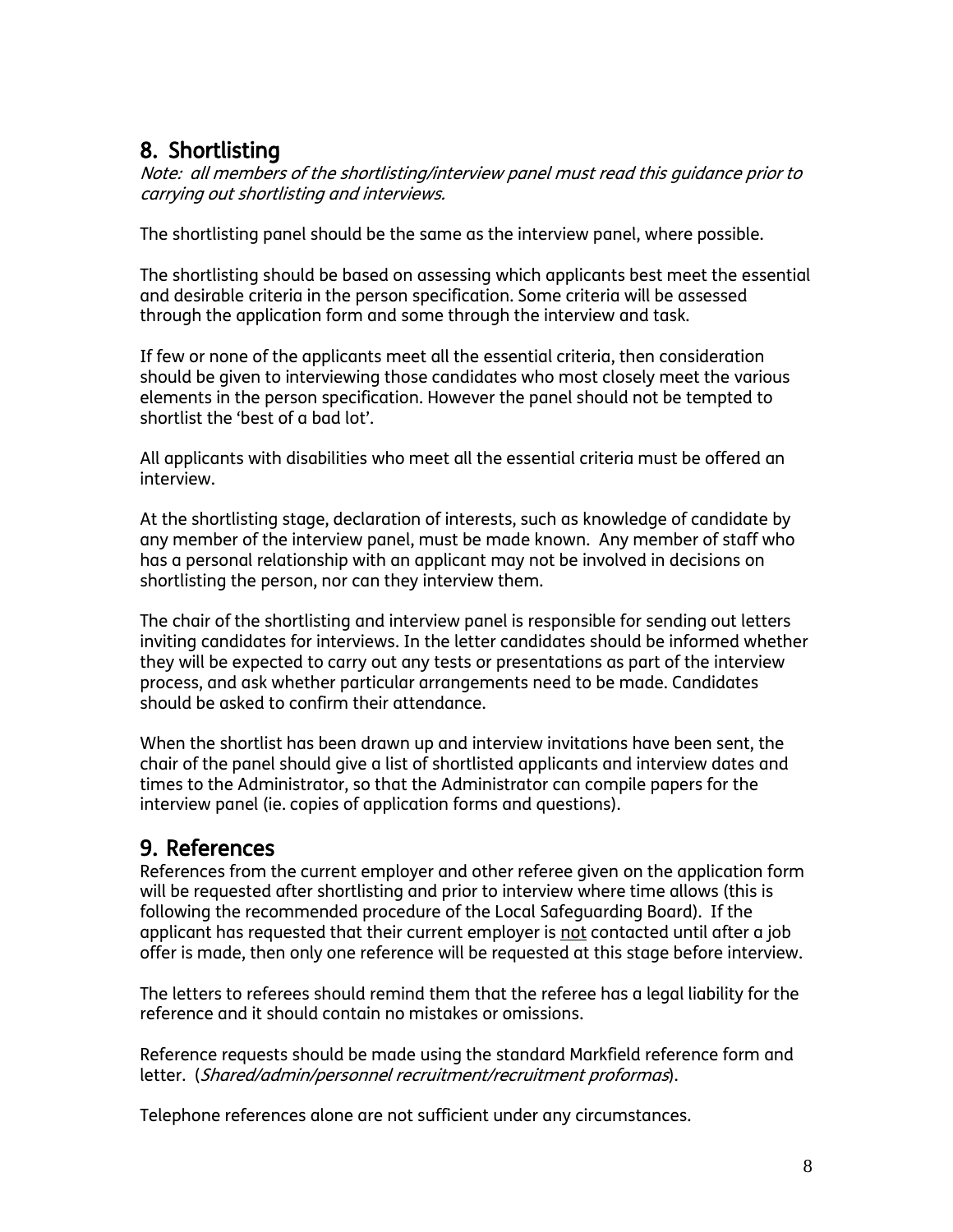## 8. Shortlisting

Note: all members of the shortlisting/interview panel must read this guidance prior to carrying out shortlisting and interviews.

The shortlisting panel should be the same as the interview panel, where possible.

The shortlisting should be based on assessing which applicants best meet the essential and desirable criteria in the person specification. Some criteria will be assessed through the application form and some through the interview and task.

If few or none of the applicants meet all the essential criteria, then consideration should be given to interviewing those candidates who most closely meet the various elements in the person specification. However the panel should not be tempted to shortlist the 'best of a bad lot'.

All applicants with disabilities who meet all the essential criteria must be offered an interview.

At the shortlisting stage, declaration of interests, such as knowledge of candidate by any member of the interview panel, must be made known. Any member of staff who has a personal relationship with an applicant may not be involved in decisions on shortlisting the person, nor can they interview them.

The chair of the shortlisting and interview panel is responsible for sending out letters inviting candidates for interviews. In the letter candidates should be informed whether they will be expected to carry out any tests or presentations as part of the interview process, and ask whether particular arrangements need to be made. Candidates should be asked to confirm their attendance.

When the shortlist has been drawn up and interview invitations have been sent, the chair of the panel should give a list of shortlisted applicants and interview dates and times to the Administrator, so that the Administrator can compile papers for the interview panel (ie. copies of application forms and questions).

## 9. References

References from the current employer and other referee given on the application form will be requested after shortlisting and prior to interview where time allows (this is following the recommended procedure of the Local Safeguarding Board). If the applicant has requested that their current employer is not contacted until after a job offer is made, then only one reference will be requested at this stage before interview.

The letters to referees should remind them that the referee has a legal liability for the reference and it should contain no mistakes or omissions.

Reference requests should be made using the standard Markfield reference form and letter. (Shared/admin/personnel recruitment/recruitment proformas).

Telephone references alone are not sufficient under any circumstances.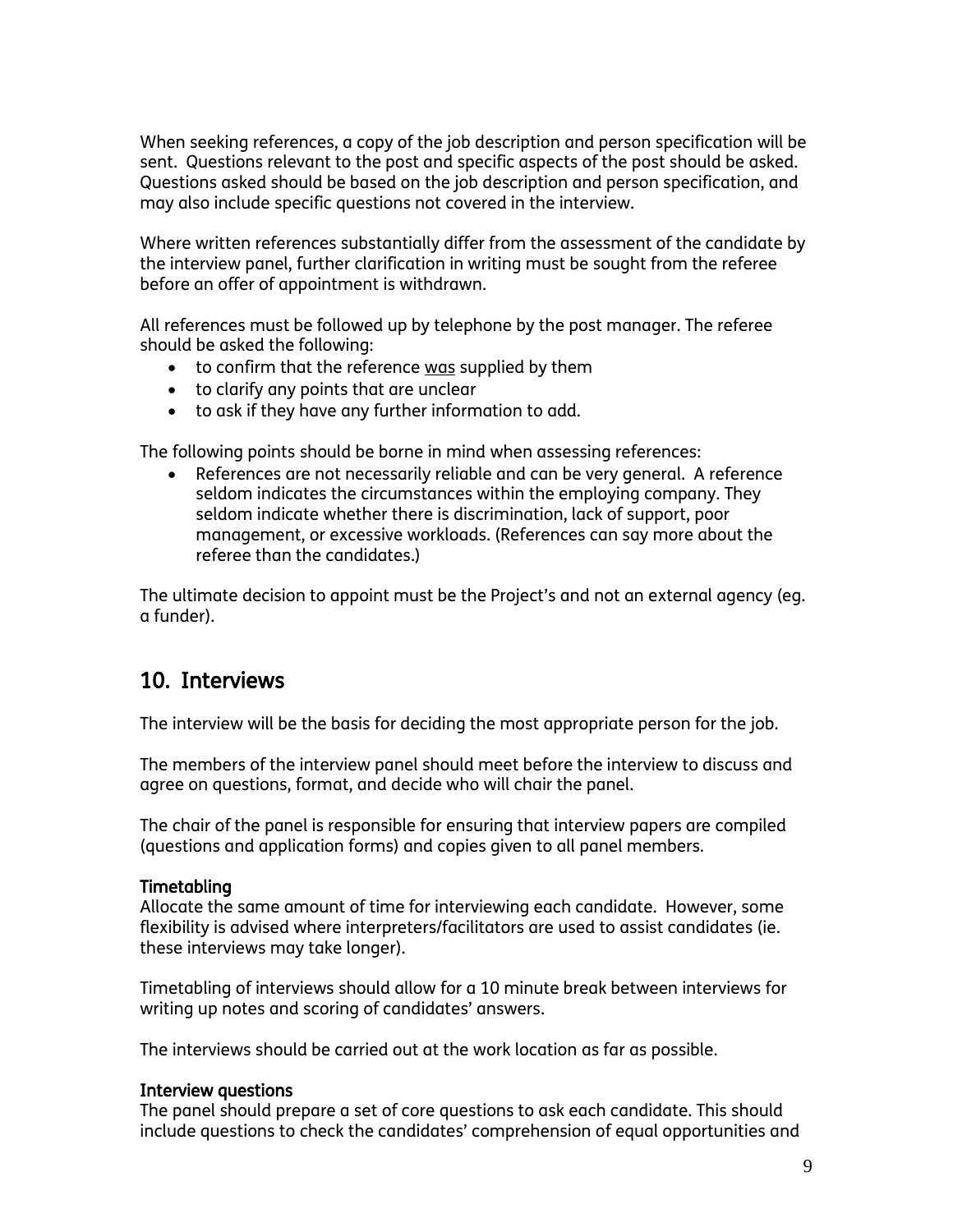When seeking references, a copy of the job description and person specification will be sent. Questions relevant to the post and specific aspects of the post should be asked. Questions asked should be based on the job description and person specification, and may also include specific questions not covered in the interview.

Where written references substantially differ from the assessment of the candidate by the interview panel, further clarification in writing must be sought from the referee before an offer of appointment is withdrawn.

All references must be followed up by telephone by the post manager. The referee should be asked the following:

- to confirm that the reference was supplied by them
- to clarify any points that are unclear
- to ask if they have any further information to add.

The following points should be borne in mind when assessing references:

 References are not necessarily reliable and can be very general. A reference seldom indicates the circumstances within the employing company. They seldom indicate whether there is discrimination, lack of support, poor management, or excessive workloads. (References can say more about the referee than the candidates.)

The ultimate decision to appoint must be the Project's and not an external agency (eg. a funder).

### 10. Interviews

The interview will be the basis for deciding the most appropriate person for the job.

The members of the interview panel should meet before the interview to discuss and agree on questions, format, and decide who will chair the panel.

The chair of the panel is responsible for ensuring that interview papers are compiled (questions and application forms) and copies given to all panel members.

#### Timetabling

Allocate the same amount of time for interviewing each candidate. However, some flexibility is advised where interpreters/facilitators are used to assist candidates (ie. these interviews may take longer).

Timetabling of interviews should allow for a 10 minute break between interviews for writing up notes and scoring of candidates' answers.

The interviews should be carried out at the work location as far as possible.

#### Interview questions

The panel should prepare a set of core questions to ask each candidate. This should include questions to check the candidates' comprehension of equal opportunities and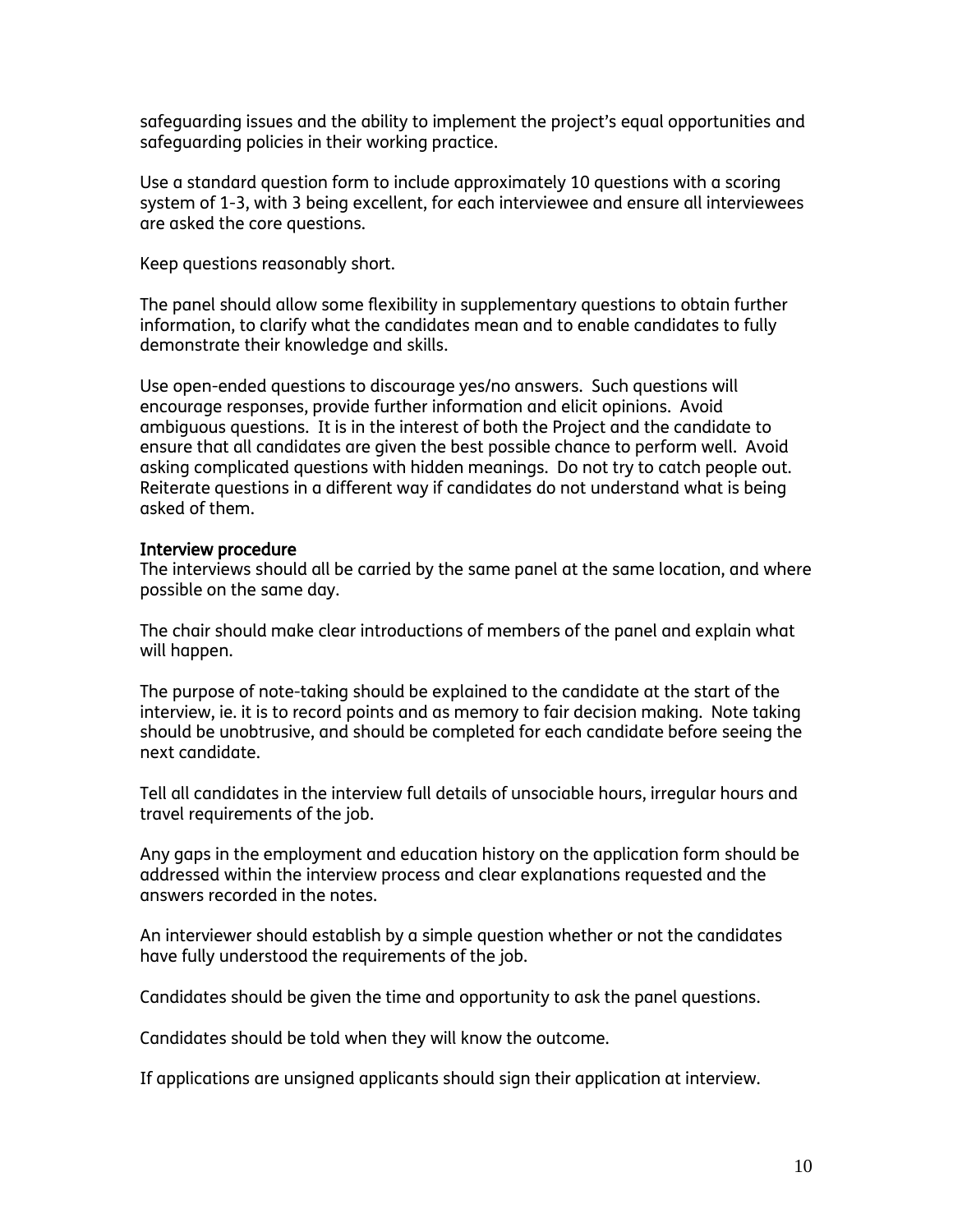safeguarding issues and the ability to implement the project's equal opportunities and safeguarding policies in their working practice.

Use a standard question form to include approximately 10 questions with a scoring system of 1-3, with 3 being excellent, for each interviewee and ensure all interviewees are asked the core questions.

Keep questions reasonably short.

The panel should allow some flexibility in supplementary questions to obtain further information, to clarify what the candidates mean and to enable candidates to fully demonstrate their knowledge and skills.

Use open-ended questions to discourage yes/no answers. Such questions will encourage responses, provide further information and elicit opinions. Avoid ambiguous questions. It is in the interest of both the Project and the candidate to ensure that all candidates are given the best possible chance to perform well. Avoid asking complicated questions with hidden meanings. Do not try to catch people out. Reiterate questions in a different way if candidates do not understand what is being asked of them.

#### Interview procedure

The interviews should all be carried by the same panel at the same location, and where possible on the same day.

The chair should make clear introductions of members of the panel and explain what will happen.

The purpose of note-taking should be explained to the candidate at the start of the interview, ie. it is to record points and as memory to fair decision making. Note taking should be unobtrusive, and should be completed for each candidate before seeing the next candidate.

Tell all candidates in the interview full details of unsociable hours, irregular hours and travel requirements of the job.

Any gaps in the employment and education history on the application form should be addressed within the interview process and clear explanations requested and the answers recorded in the notes.

An interviewer should establish by a simple question whether or not the candidates have fully understood the requirements of the job.

Candidates should be given the time and opportunity to ask the panel questions.

Candidates should be told when they will know the outcome.

If applications are unsigned applicants should sign their application at interview.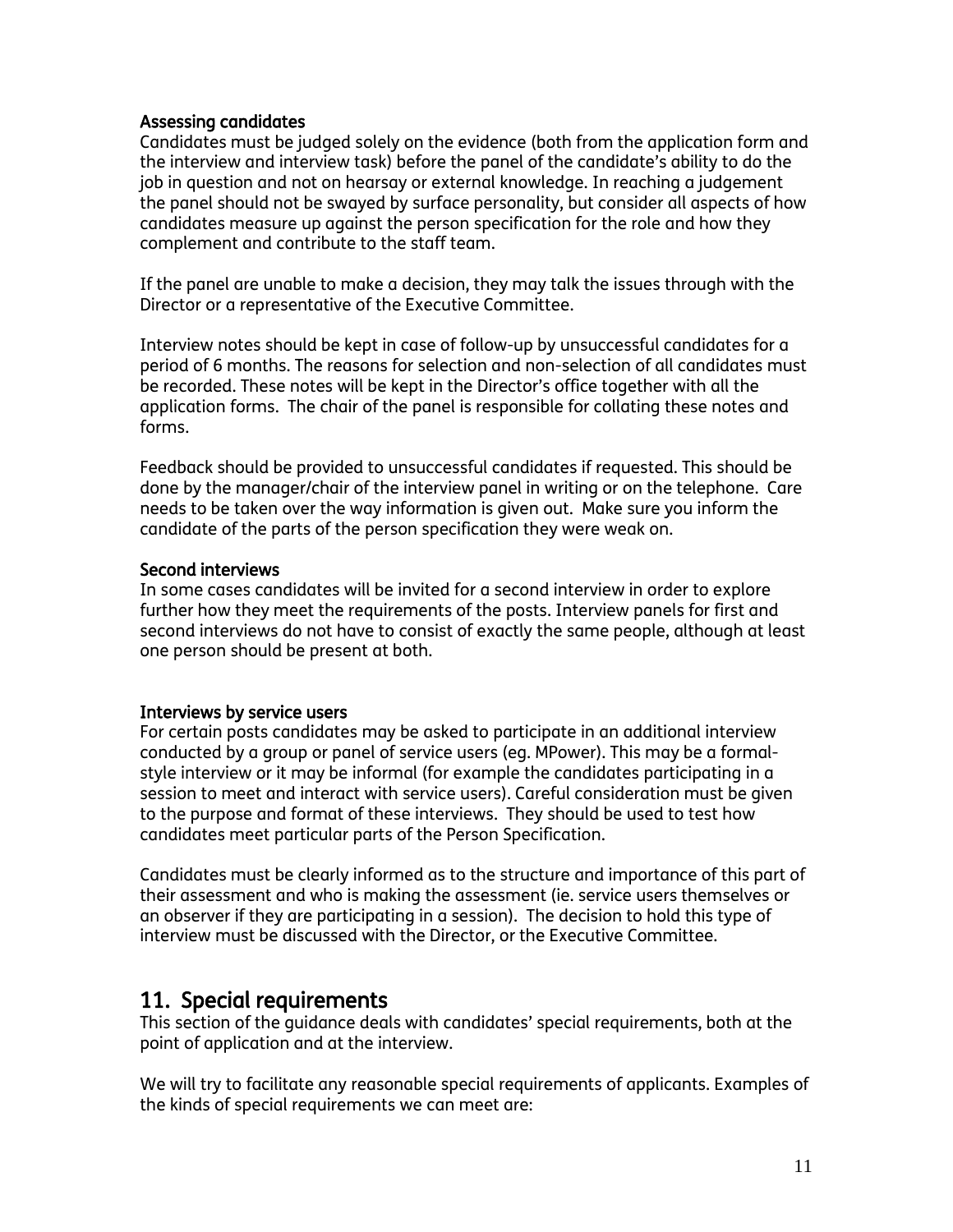#### Assessing candidates

Candidates must be judged solely on the evidence (both from the application form and the interview and interview task) before the panel of the candidate's ability to do the job in question and not on hearsay or external knowledge. In reaching a judgement the panel should not be swayed by surface personality, but consider all aspects of how candidates measure up against the person specification for the role and how they complement and contribute to the staff team.

If the panel are unable to make a decision, they may talk the issues through with the Director or a representative of the Executive Committee.

Interview notes should be kept in case of follow-up by unsuccessful candidates for a period of 6 months. The reasons for selection and non-selection of all candidates must be recorded. These notes will be kept in the Director's office together with all the application forms. The chair of the panel is responsible for collating these notes and forms.

Feedback should be provided to unsuccessful candidates if requested. This should be done by the manager/chair of the interview panel in writing or on the telephone. Care needs to be taken over the way information is given out. Make sure you inform the candidate of the parts of the person specification they were weak on.

#### Second interviews

In some cases candidates will be invited for a second interview in order to explore further how they meet the requirements of the posts. Interview panels for first and second interviews do not have to consist of exactly the same people, although at least one person should be present at both.

#### Interviews by service users

For certain posts candidates may be asked to participate in an additional interview conducted by a group or panel of service users (eg. MPower). This may be a formalstyle interview or it may be informal (for example the candidates participating in a session to meet and interact with service users). Careful consideration must be given to the purpose and format of these interviews. They should be used to test how candidates meet particular parts of the Person Specification.

Candidates must be clearly informed as to the structure and importance of this part of their assessment and who is making the assessment (ie. service users themselves or an observer if they are participating in a session). The decision to hold this type of interview must be discussed with the Director, or the Executive Committee.

#### 11. Special requirements

This section of the guidance deals with candidates' special requirements, both at the point of application and at the interview.

We will try to facilitate any reasonable special requirements of applicants. Examples of the kinds of special requirements we can meet are: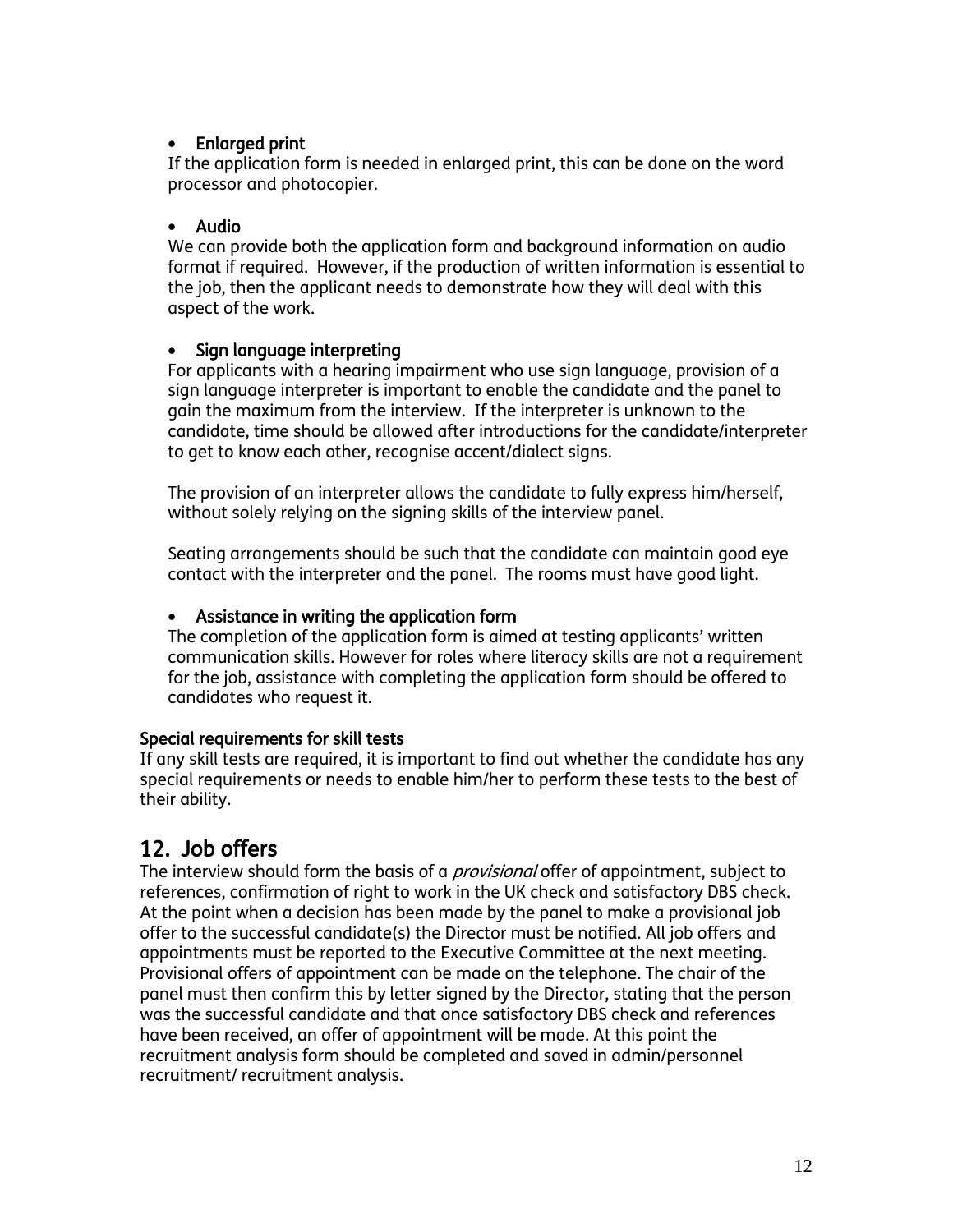#### Enlarged print

If the application form is needed in enlarged print, this can be done on the word processor and photocopier.

#### Audio

We can provide both the application form and background information on audio format if required. However, if the production of written information is essential to the job, then the applicant needs to demonstrate how they will deal with this aspect of the work.

#### Sign language interpreting

For applicants with a hearing impairment who use sign language, provision of a sign language interpreter is important to enable the candidate and the panel to gain the maximum from the interview. If the interpreter is unknown to the candidate, time should be allowed after introductions for the candidate/interpreter to get to know each other, recognise accent/dialect signs.

The provision of an interpreter allows the candidate to fully express him/herself, without solely relying on the signing skills of the interview panel.

Seating arrangements should be such that the candidate can maintain good eye contact with the interpreter and the panel. The rooms must have good light.

#### Assistance in writing the application form

The completion of the application form is aimed at testing applicants' written communication skills. However for roles where literacy skills are not a requirement for the job, assistance with completing the application form should be offered to candidates who request it.

#### Special requirements for skill tests

If any skill tests are required, it is important to find out whether the candidate has any special requirements or needs to enable him/her to perform these tests to the best of their ability.

## 12. Job offers

The interview should form the basis of a *provisional* offer of appointment, subject to references, confirmation of right to work in the UK check and satisfactory DBS check. At the point when a decision has been made by the panel to make a provisional job offer to the successful candidate(s) the Director must be notified. All job offers and appointments must be reported to the Executive Committee at the next meeting. Provisional offers of appointment can be made on the telephone. The chair of the panel must then confirm this by letter signed by the Director, stating that the person was the successful candidate and that once satisfactory DBS check and references have been received, an offer of appointment will be made. At this point the recruitment analysis form should be completed and saved in admin/personnel recruitment/ recruitment analysis.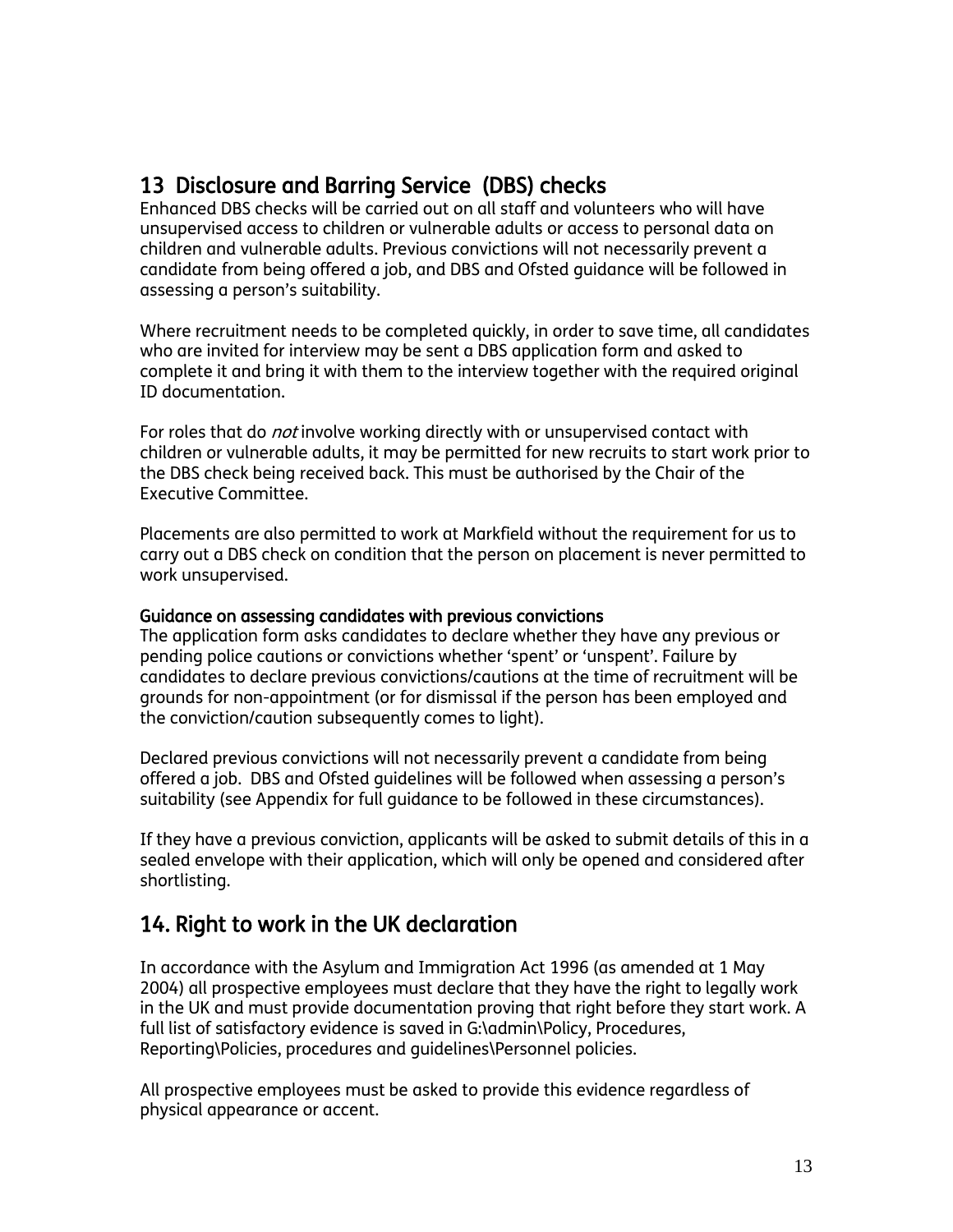## 13 Disclosure and Barring Service (DBS) checks

Enhanced DBS checks will be carried out on all staff and volunteers who will have unsupervised access to children or vulnerable adults or access to personal data on children and vulnerable adults. Previous convictions will not necessarily prevent a candidate from being offered a job, and DBS and Ofsted guidance will be followed in assessing a person's suitability.

Where recruitment needs to be completed quickly, in order to save time, all candidates who are invited for interview may be sent a DBS application form and asked to complete it and bring it with them to the interview together with the required original ID documentation.

For roles that do *not* involve working directly with or unsupervised contact with children or vulnerable adults, it may be permitted for new recruits to start work prior to the DBS check being received back. This must be authorised by the Chair of the Executive Committee.

Placements are also permitted to work at Markfield without the requirement for us to carry out a DBS check on condition that the person on placement is never permitted to work unsupervised.

#### Guidance on assessing candidates with previous convictions

The application form asks candidates to declare whether they have any previous or pending police cautions or convictions whether 'spent' or 'unspent'. Failure by candidates to declare previous convictions/cautions at the time of recruitment will be grounds for non-appointment (or for dismissal if the person has been employed and the conviction/caution subsequently comes to light).

Declared previous convictions will not necessarily prevent a candidate from being offered a job. DBS and Ofsted guidelines will be followed when assessing a person's suitability (see Appendix for full guidance to be followed in these circumstances).

If they have a previous conviction, applicants will be asked to submit details of this in a sealed envelope with their application, which will only be opened and considered after shortlisting.

## 14. Right to work in the UK declaration

In accordance with the Asylum and Immigration Act 1996 (as amended at 1 May 2004) all prospective employees must declare that they have the right to legally work in the UK and must provide documentation proving that right before they start work. A full list of satisfactory evidence is saved in G:\admin\Policy, Procedures, Reporting\Policies, procedures and guidelines\Personnel policies.

All prospective employees must be asked to provide this evidence regardless of physical appearance or accent.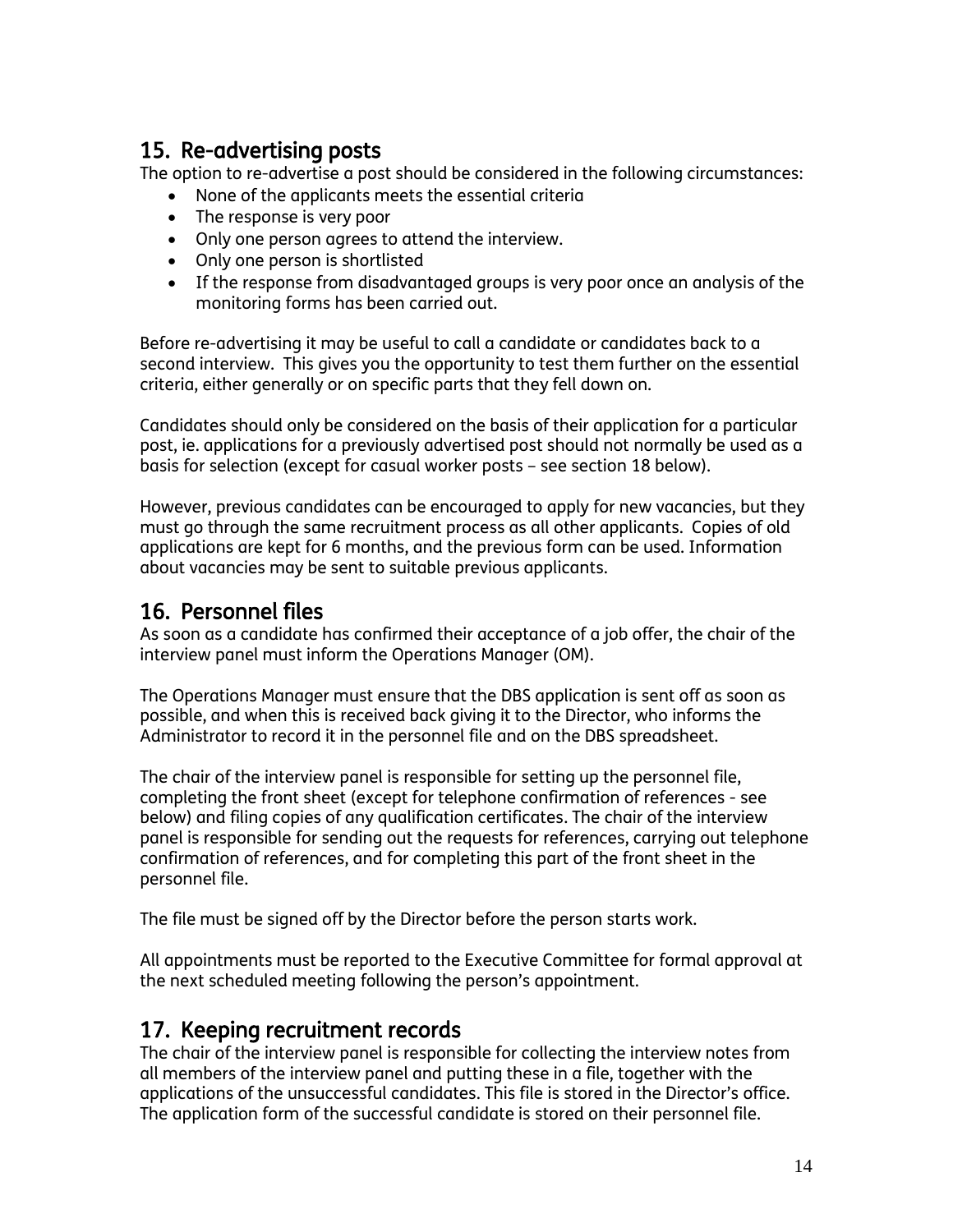## 15. Re-advertising posts

The option to re-advertise a post should be considered in the following circumstances:

- None of the applicants meets the essential criteria
- The response is very poor
- Only one person agrees to attend the interview.
- Only one person is shortlisted
- If the response from disadvantaged groups is very poor once an analysis of the monitoring forms has been carried out.

Before re-advertising it may be useful to call a candidate or candidates back to a second interview. This gives you the opportunity to test them further on the essential criteria, either generally or on specific parts that they fell down on.

Candidates should only be considered on the basis of their application for a particular post, ie. applications for a previously advertised post should not normally be used as a basis for selection (except for casual worker posts – see section 18 below).

However, previous candidates can be encouraged to apply for new vacancies, but they must go through the same recruitment process as all other applicants. Copies of old applications are kept for 6 months, and the previous form can be used. Information about vacancies may be sent to suitable previous applicants.

## 16. Personnel files

As soon as a candidate has confirmed their acceptance of a job offer, the chair of the interview panel must inform the Operations Manager (OM).

The Operations Manager must ensure that the DBS application is sent off as soon as possible, and when this is received back giving it to the Director, who informs the Administrator to record it in the personnel file and on the DBS spreadsheet.

The chair of the interview panel is responsible for setting up the personnel file, completing the front sheet (except for telephone confirmation of references - see below) and filing copies of any qualification certificates. The chair of the interview panel is responsible for sending out the requests for references, carrying out telephone confirmation of references, and for completing this part of the front sheet in the personnel file.

The file must be signed off by the Director before the person starts work.

All appointments must be reported to the Executive Committee for formal approval at the next scheduled meeting following the person's appointment.

## 17. Keeping recruitment records

The chair of the interview panel is responsible for collecting the interview notes from all members of the interview panel and putting these in a file, together with the applications of the unsuccessful candidates. This file is stored in the Director's office. The application form of the successful candidate is stored on their personnel file.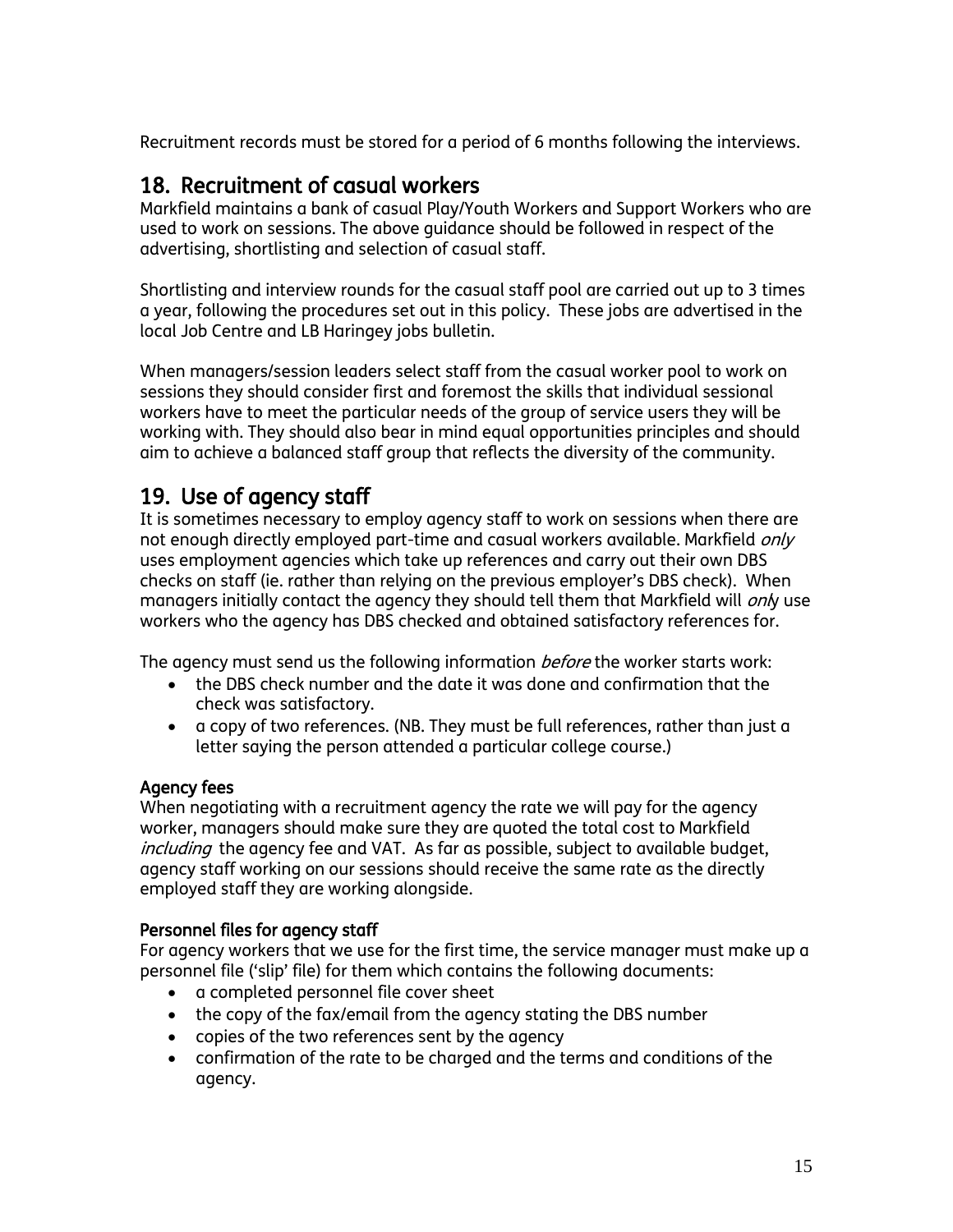Recruitment records must be stored for a period of 6 months following the interviews.

## 18. Recruitment of casual workers

Markfield maintains a bank of casual Play/Youth Workers and Support Workers who are used to work on sessions. The above guidance should be followed in respect of the advertising, shortlisting and selection of casual staff.

Shortlisting and interview rounds for the casual staff pool are carried out up to 3 times a year, following the procedures set out in this policy. These jobs are advertised in the local Job Centre and LB Haringey jobs bulletin.

When managers/session leaders select staff from the casual worker pool to work on sessions they should consider first and foremost the skills that individual sessional workers have to meet the particular needs of the group of service users they will be working with. They should also bear in mind equal opportunities principles and should aim to achieve a balanced staff group that reflects the diversity of the community.

## 19. Use of agency staff

It is sometimes necessary to employ agency staff to work on sessions when there are not enough directly employed part-time and casual workers available. Markfield *only* uses employment agencies which take up references and carry out their own DBS checks on staff (ie. rather than relying on the previous employer's DBS check). When managers initially contact the agency they should tell them that Markfield will *onl*y use workers who the agency has DBS checked and obtained satisfactory references for.

The agency must send us the following information *before* the worker starts work:

- the DBS check number and the date it was done and confirmation that the check was satisfactory.
- a copy of two references. (NB. They must be full references, rather than just a letter saying the person attended a particular college course.)

#### Agency fees

When negotiating with a recruitment agency the rate we will pay for the agency worker, managers should make sure they are quoted the total cost to Markfield including the agency fee and VAT. As far as possible, subject to available budget, agency staff working on our sessions should receive the same rate as the directly employed staff they are working alongside.

#### Personnel files for agency staff

For agency workers that we use for the first time, the service manager must make up a personnel file ('slip' file) for them which contains the following documents:

- a completed personnel file cover sheet
- the copy of the fax/email from the agency stating the DBS number
- copies of the two references sent by the agency
- confirmation of the rate to be charged and the terms and conditions of the agency.